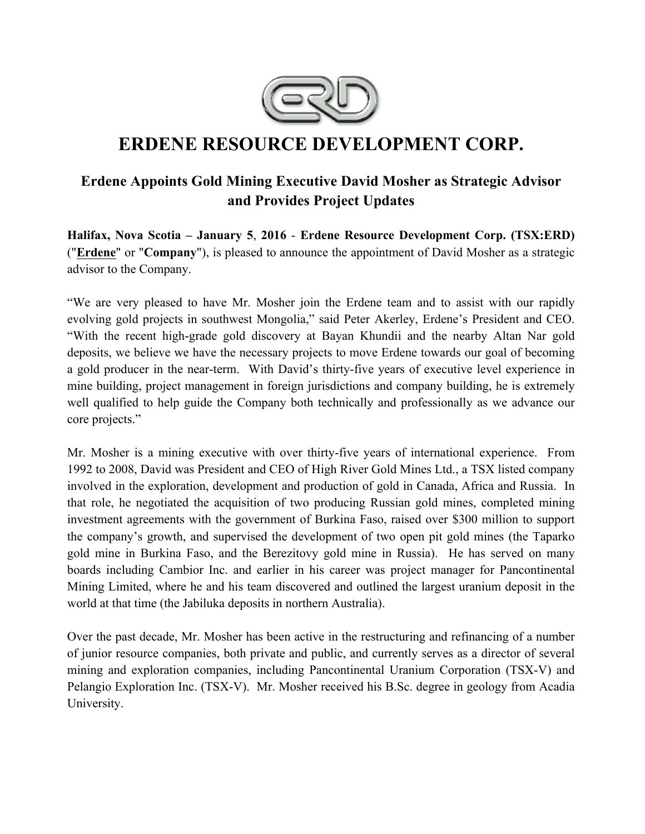

# **ERDENE RESOURCE DEVELOPMENT CORP.**

## **Erdene Appoints Gold Mining Executive David Mosher as Strategic Advisor and Provides Project Updates**

**Halifax, Nova Scotia – January 5**, **2016** - **Erdene Resource Development Corp. (TSX:ERD)**  ("**Erdene**" or "**Company**"), is pleased to announce the appointment of David Mosher as a strategic advisor to the Company.

"We are very pleased to have Mr. Mosher join the Erdene team and to assist with our rapidly evolving gold projects in southwest Mongolia," said Peter Akerley, Erdene's President and CEO. "With the recent high-grade gold discovery at Bayan Khundii and the nearby Altan Nar gold deposits, we believe we have the necessary projects to move Erdene towards our goal of becoming a gold producer in the near-term. With David's thirty-five years of executive level experience in mine building, project management in foreign jurisdictions and company building, he is extremely well qualified to help guide the Company both technically and professionally as we advance our core projects."

Mr. Mosher is a mining executive with over thirty-five years of international experience. From 1992 to 2008, David was President and CEO of High River Gold Mines Ltd., a TSX listed company involved in the exploration, development and production of gold in Canada, Africa and Russia. In that role, he negotiated the acquisition of two producing Russian gold mines, completed mining investment agreements with the government of Burkina Faso, raised over \$300 million to support the company's growth, and supervised the development of two open pit gold mines (the Taparko gold mine in Burkina Faso, and the Berezitovy gold mine in Russia). He has served on many boards including Cambior Inc. and earlier in his career was project manager for Pancontinental Mining Limited, where he and his team discovered and outlined the largest uranium deposit in the world at that time (the Jabiluka deposits in northern Australia).

Over the past decade, Mr. Mosher has been active in the restructuring and refinancing of a number of junior resource companies, both private and public, and currently serves as a director of several mining and exploration companies, including Pancontinental Uranium Corporation (TSX-V) and Pelangio Exploration Inc. (TSX-V). Mr. Mosher received his B.Sc. degree in geology from Acadia University.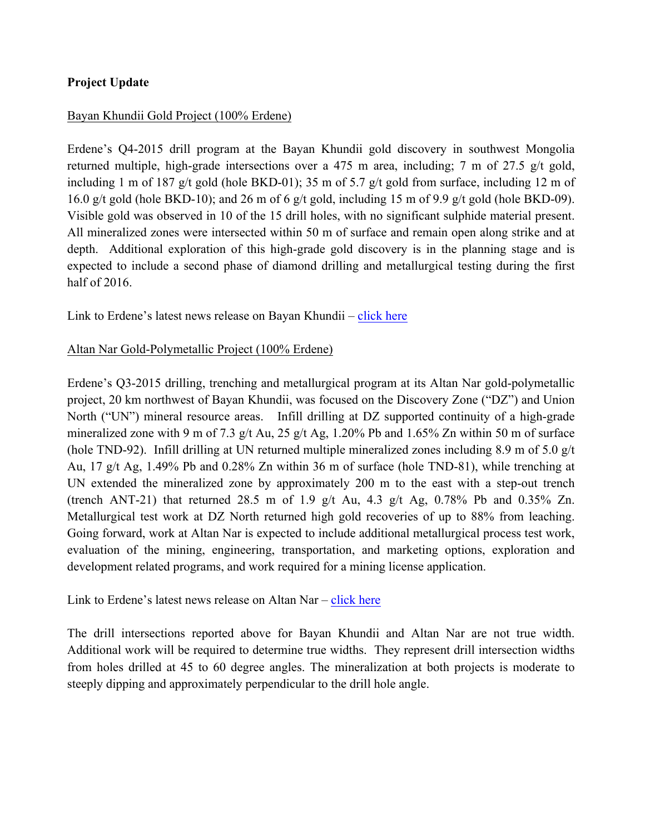#### **Project Update**

#### Bayan Khundii Gold Project (100% Erdene)

Erdene's Q4-2015 drill program at the Bayan Khundii gold discovery in southwest Mongolia returned multiple, high-grade intersections over a 475 m area, including; 7 m of 27.5 g/t gold, including 1 m of 187 g/t gold (hole BKD-01); 35 m of 5.7 g/t gold from surface, including 12 m of 16.0 g/t gold (hole BKD-10); and 26 m of 6 g/t gold, including 15 m of 9.9 g/t gold (hole BKD-09). Visible gold was observed in 10 of the 15 drill holes, with no significant sulphide material present. All mineralized zones were intersected within 50 m of surface and remain open along strike and at depth. Additional exploration of this high-grade gold discovery is in the planning stage and is expected to include a second phase of diamond drilling and metallurgical testing during the first half of 2016.

Link to Erdene's latest news release on Bayan Khundii – click here

#### Altan Nar Gold-Polymetallic Project (100% Erdene)

Erdene's Q3-2015 drilling, trenching and metallurgical program at its Altan Nar gold-polymetallic project, 20 km northwest of Bayan Khundii, was focused on the Discovery Zone ("DZ") and Union North ("UN") mineral resource areas. Infill drilling at DZ supported continuity of a high-grade mineralized zone with 9 m of 7.3 g/t Au, 25 g/t Ag, 1.20% Pb and 1.65% Zn within 50 m of surface (hole TND-92). Infill drilling at UN returned multiple mineralized zones including 8.9 m of 5.0 g/t Au, 17 g/t Ag, 1.49% Pb and 0.28% Zn within 36 m of surface (hole TND-81), while trenching at UN extended the mineralized zone by approximately 200 m to the east with a step-out trench (trench ANT-21) that returned 28.5 m of 1.9 g/t Au, 4.3 g/t Ag,  $0.78\%$  Pb and  $0.35\%$  Zn. Metallurgical test work at DZ North returned high gold recoveries of up to 88% from leaching. Going forward, work at Altan Nar is expected to include additional metallurgical process test work, evaluation of the mining, engineering, transportation, and marketing options, exploration and development related programs, and work required for a mining license application.

Link to Erdene's latest news release on Altan Nar – click here

The drill intersections reported above for Bayan Khundii and Altan Nar are not true width. Additional work will be required to determine true widths. They represent drill intersection widths from holes drilled at 45 to 60 degree angles. The mineralization at both projects is moderate to steeply dipping and approximately perpendicular to the drill hole angle.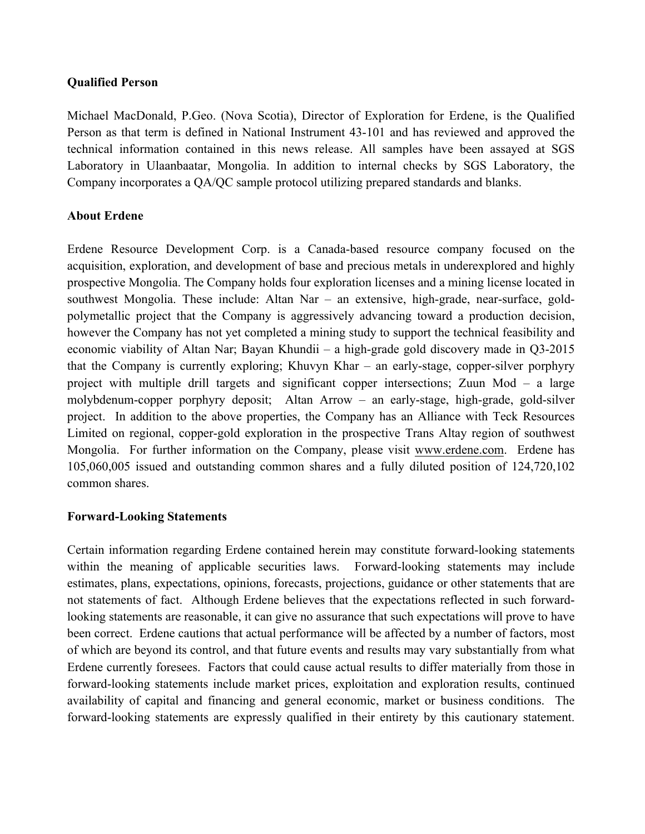#### **Qualified Person**

Michael MacDonald, P.Geo. (Nova Scotia), Director of Exploration for Erdene, is the Qualified Person as that term is defined in National Instrument 43-101 and has reviewed and approved the technical information contained in this news release. All samples have been assayed at SGS Laboratory in Ulaanbaatar, Mongolia. In addition to internal checks by SGS Laboratory, the Company incorporates a QA/QC sample protocol utilizing prepared standards and blanks.

#### **About Erdene**

Erdene Resource Development Corp. is a Canada-based resource company focused on the acquisition, exploration, and development of base and precious metals in underexplored and highly prospective Mongolia. The Company holds four exploration licenses and a mining license located in southwest Mongolia. These include: Altan Nar – an extensive, high-grade, near-surface, goldpolymetallic project that the Company is aggressively advancing toward a production decision, however the Company has not yet completed a mining study to support the technical feasibility and economic viability of Altan Nar; Bayan Khundii – a high-grade gold discovery made in Q3-2015 that the Company is currently exploring; Khuvyn Khar – an early-stage, copper-silver porphyry project with multiple drill targets and significant copper intersections; Zuun Mod – a large molybdenum-copper porphyry deposit; Altan Arrow – an early-stage, high-grade, gold-silver project. In addition to the above properties, the Company has an Alliance with Teck Resources Limited on regional, copper-gold exploration in the prospective Trans Altay region of southwest Mongolia. For further information on the Company, please visit www.erdene.com. Erdene has 105,060,005 issued and outstanding common shares and a fully diluted position of 124,720,102 common shares.

#### **Forward-Looking Statements**

Certain information regarding Erdene contained herein may constitute forward-looking statements within the meaning of applicable securities laws. Forward-looking statements may include estimates, plans, expectations, opinions, forecasts, projections, guidance or other statements that are not statements of fact. Although Erdene believes that the expectations reflected in such forwardlooking statements are reasonable, it can give no assurance that such expectations will prove to have been correct. Erdene cautions that actual performance will be affected by a number of factors, most of which are beyond its control, and that future events and results may vary substantially from what Erdene currently foresees. Factors that could cause actual results to differ materially from those in forward-looking statements include market prices, exploitation and exploration results, continued availability of capital and financing and general economic, market or business conditions. The forward-looking statements are expressly qualified in their entirety by this cautionary statement.